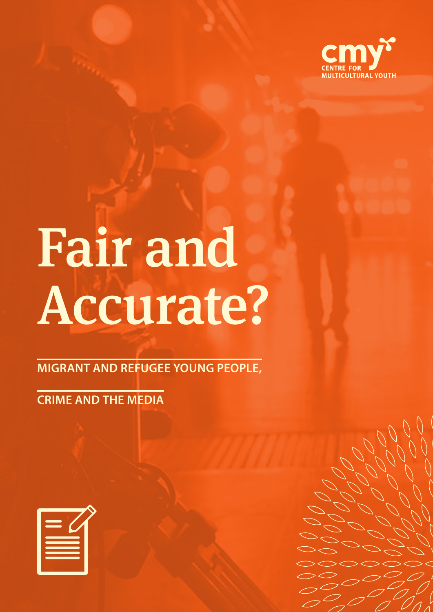

# Fair and Accurate?

**MIGRANT AND REFUGEE YOUNG PEOPLE,**

**CRIME AND THE MEDIA**

| т.                       |  |
|--------------------------|--|
| $\overline{\phantom{a}}$ |  |
| <u>т</u>                 |  |
|                          |  |
|                          |  |
|                          |  |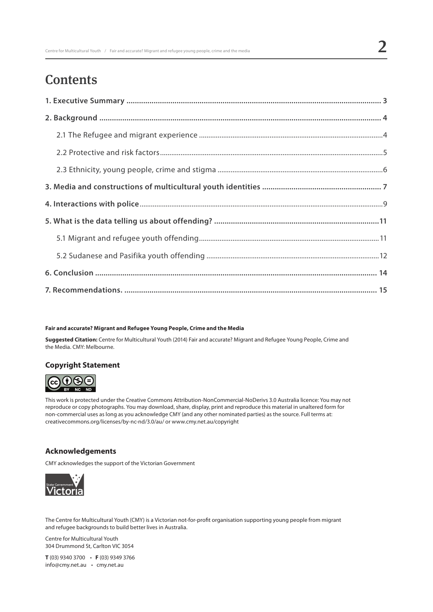# **Contents**

#### **Fair and accurate? Migrant and Refugee Young People, Crime and the Media**

**Suggested Citation:** Centre for Multicultural Youth (2014) Fair and accurate? Migrant and Refugee Young People, Crime and the Media. CMY: Melbourne.

## **Copyright Statement**



This work is protected under the Creative Commons Attribution-NonCommercial-NoDerivs 3.0 Australia licence: You may not reproduce or copy photographs. You may download, share, display, print and reproduce this material in unaltered form for non-commercial uses as long as you acknowledge CMY (and any other nominated parties) as the source. Full terms at: creativecommons.org/licenses/by-nc-nd/3.0/au/ or www.cmy.net.au/copyright

## **Acknowledgements**

CMY acknowledges the support of the Victorian Government



The Centre for Multicultural Youth (CMY) is a Victorian not-for-profit organisation supporting young people from migrant and refugee backgrounds to build better lives in Australia.

Centre for Multicultural Youth 304 Drummond St, Carlton VIC 3054

**T** (03) 9340 3700 • **F** (03) 9349 3766 info@cmy.net.au • cmy.net.au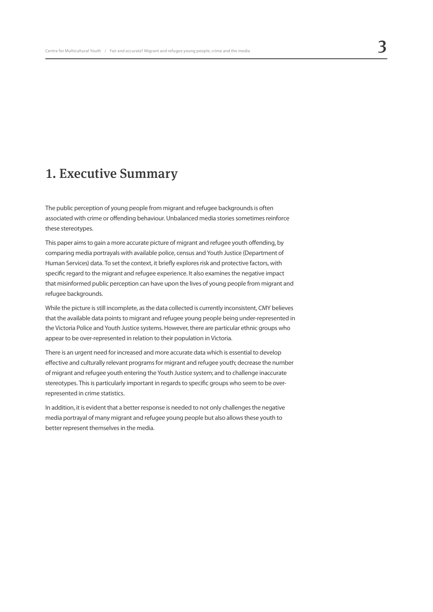## 1. Executive Summary

The public perception of young people from migrant and refugee backgrounds is often associated with crime or offending behaviour. Unbalanced media stories sometimes reinforce these stereotypes.

This paper aims to gain a more accurate picture of migrant and refugee youth offending, by comparing media portrayals with available police, census and Youth Justice (Department of Human Services) data. To set the context, it briefly explores risk and protective factors, with specific regard to the migrant and refugee experience. It also examines the negative impact that misinformed public perception can have upon the lives of young people from migrant and refugee backgrounds.

While the picture is still incomplete, as the data collected is currently inconsistent, CMY believes that the available data points to migrant and refugee young people being under-represented in the Victoria Police and Youth Justice systems. However, there are particular ethnic groups who appear to be over-represented in relation to their population in Victoria.

There is an urgent need for increased and more accurate data which is essential to develop effective and culturally relevant programs for migrant and refugee youth; decrease the number of migrant and refugee youth entering the Youth Justice system; and to challenge inaccurate stereotypes. This is particularly important in regards to specific groups who seem to be overrepresented in crime statistics.

In addition, it is evident that a better response is needed to not only challenges the negative media portrayal of many migrant and refugee young people but also allows these youth to better represent themselves in the media.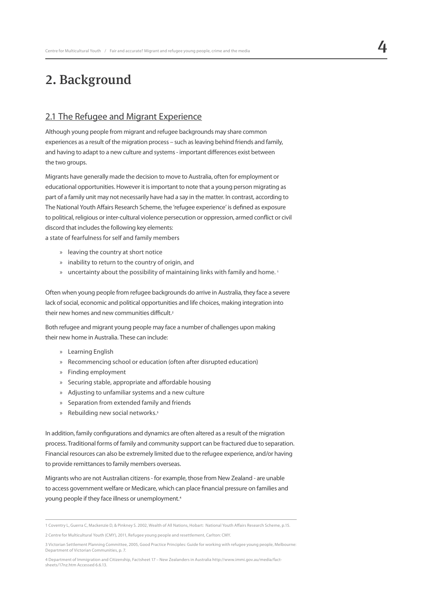# 2. Background

## 2.1 The Refugee and Migrant Experience

Although young people from migrant and refugee backgrounds may share common experiences as a result of the migration process – such as leaving behind friends and family, and having to adapt to a new culture and systems - important differences exist between the two groups.

Migrants have generally made the decision to move to Australia, often for employment or educational opportunities. However it is important to note that a young person migrating as part of a family unit may not necessarily have had a say in the matter. In contrast, according to The National Youth Affairs Research Scheme, the 'refugee experience' is defined as exposure to political, religious or inter-cultural violence persecution or oppression, armed conflict or civil discord that includes the following key elements:

a state of fearfulness for self and family members

- » leaving the country at short notice
- » inability to return to the country of origin, and
- » uncertainty about the possibility of maintaining links with family and home. **<sup>1</sup>**

Often when young people from refugee backgrounds do arrive in Australia, they face a severe lack of social, economic and political opportunities and life choices, making integration into their new homes and new communities difficult.**<sup>2</sup>**

Both refugee and migrant young people may face a number of challenges upon making their new home in Australia. These can include:

- » Learning English
- » Recommencing school or education (often after disrupted education)
- » Finding employment
- » Securing stable, appropriate and affordable housing
- » Adjusting to unfamiliar systems and a new culture
- » Separation from extended family and friends
- » Rebuilding new social networks.**<sup>3</sup>**

In addition, family configurations and dynamics are often altered as a result of the migration process. Traditional forms of family and community support can be fractured due to separation. Financial resources can also be extremely limited due to the refugee experience, and/or having to provide remittances to family members overseas.

Migrants who are not Australian citizens - for example, those from New Zealand - are unable to access government welfare or Medicare, which can place financial pressure on families and young people if they face illness or unemployment.**<sup>4</sup>**

<sup>1</sup> Coventry L, Guerra C, Mackenzie D, & Pinkney S. 2002, Wealth of All Nations, Hobart: National Youth Affairs Research Scheme, p.15.

<sup>2</sup> Centre for Multicultural Youth (CMY), 2011, Refugee young people and resettlement, Carlton: CMY.

<sup>3</sup> Victorian Settlement Planning Committee, 2005, Good Practice Principles: Guide for working with refugee young people, Melbourne: Department of Victorian Communities, p. 7.

<sup>4</sup> Department of Immigration and Citizenship, Factsheet 17 – New Zealanders in Australia http://www.immi.gov.au/media/factsheets/17nz.htm Accessed 6.6.13.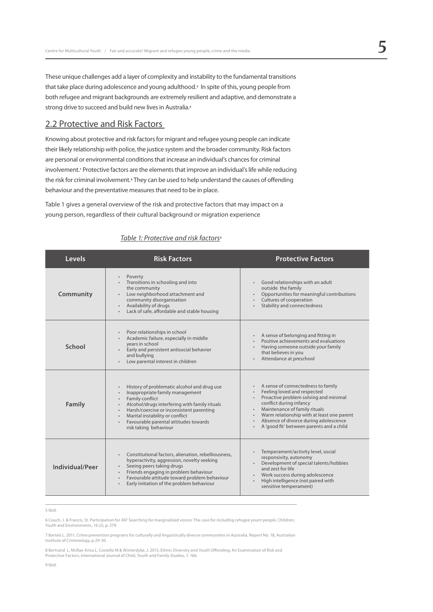These unique challenges add a layer of complexity and instability to the fundamental transitions that take place during adolescence and young adulthood.**<sup>5</sup>** In spite of this, young people from both refugee and migrant backgrounds are extremely resilient and adaptive, and demonstrate a strong drive to succeed and build new lives in Australia.**<sup>6</sup>**

## 2.2 Protective and Risk Factors

Knowing about protective and risk factors for migrant and refugee young people can indicate their likely relationship with police, the justice system and the broader community. Risk factors are personal or environmental conditions that increase an individual's chances for criminal involvement.**<sup>7</sup>** Protective factors are the elements that improve an individual's life while reducing the risk for criminal involvement.**<sup>8</sup>** They can be used to help understand the causes of offending behaviour and the preventative measures that need to be in place.

Table 1 gives a general overview of the risk and protective factors that may impact on a young person, regardless of their cultural background or migration experience

| Levels          | <b>Risk Factors</b>                                                                                                                                                                                                                                                                                                           | <b>Protective Factors</b>                                                                                                                                                                                                                                                                                                                        |
|-----------------|-------------------------------------------------------------------------------------------------------------------------------------------------------------------------------------------------------------------------------------------------------------------------------------------------------------------------------|--------------------------------------------------------------------------------------------------------------------------------------------------------------------------------------------------------------------------------------------------------------------------------------------------------------------------------------------------|
| Community       | Poverty<br>Transitions in schooling and into<br>the community<br>Low neighborhood attachment and<br>$\bullet$<br>community disorganisation<br>Availability of drugs<br>$\bullet$<br>Lack of safe, affordable and stable housing                                                                                               | Good relationships with an adult<br>$\bullet$<br>outside the family<br>Opportunities for meaningful contributions<br>$\bullet$<br>Cultures of cooperation<br>$\bullet$<br>Stability and connectedness                                                                                                                                            |
| School          | Poor relationships in school<br>Academic failure, especially in middle<br>vears in school<br>Early and persistent antisocial behavior<br>and bullying<br>Low parental interest in children                                                                                                                                    | A sense of belonging and fitting in<br>Positive achievements and evaluations<br>Having someone outside your family<br>that believes in you<br>Attendance at preschool                                                                                                                                                                            |
| Family          | History of problematic alcohol and drug use<br>Inappropriate family management<br>Family conflict<br>Alcohol/drugs interfering with family rituals<br>Harsh/coercive or inconsistent parenting<br>Marital instability or conflict<br>$\bullet$<br>Favourable parental attitudes towards<br>$\bullet$<br>risk taking behaviour | A sense of connectedness to family<br>$\bullet$<br>Feeling loved and respected<br>$\bullet$<br>Proactive problem solving and minimal<br>conflict during infancy<br>Maintenance of family rituals<br>Warm relationship with at least one parent<br>Absence of divorce during adolescence<br>$\bullet$<br>A 'good fit' between parents and a child |
| Individual/Peer | Constitutional factors, alienation, rebelliousness,<br>$\bullet$<br>hyperactivity, aggression, novelty seeking<br>Seeing peers taking drugs<br>Friends engaging in problem behaviour<br>$\bullet$<br>Favourable attitude toward problem behaviour<br>$\bullet$<br>Early initiation of the problem behaviour                   | Temperament/activity level, social<br>$\bullet$<br>responsivity, autonomy<br>Development of special talents/hobbies<br>and zest for life<br>Work success during adolescence<br>High intelligence (not paired with<br>$\bullet$<br>sensitive temperament)                                                                                         |

### *Table 1: Protective and risk factors***<sup>9</sup>**

5 Ibid.

6 Couch, J. & Francis, St. Participation for All? Searching for marginalized voices: The case for including refugee yount people, Children, Youth and Environments, 16 (2), p. 279.

7 Bartels L. 2011, Crime prevention programs for culturally and linguistically diverse communities in Australia, Report No. 18, Australian Institute of Criminology, p.29-30.

8 Bertrand L, McRae-Krisa L, Costello M & Winterdyke, J. 2013, Ethnic Diversity and Youth Offending: An Examination of Risk and Protective Factors, International Journal of Child, Youth and Family Studies, 1: 166.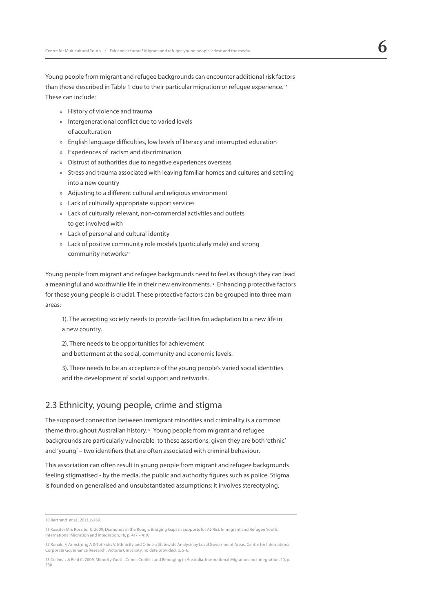Young people from migrant and refugee backgrounds can encounter additional risk factors than those described in Table 1 due to their particular migration or refugee experience. **<sup>10</sup>** These can include:

- » History of violence and trauma
- » Intergenerational conflict due to varied levels of acculturation
- » English language difficulties, low levels of literacy and interrupted education
- » Experiences of racism and discrimination
- » Distrust of authorities due to negative experiences overseas
- » Stress and trauma associated with leaving familiar homes and cultures and settling into a new country
- » Adjusting to a different cultural and religious environment
- » Lack of culturally appropriate support services
- » Lack of culturally relevant, non-commercial activities and outlets to get involved with
- » Lack of personal and cultural identity
- » Lack of positive community role models (particularly male) and strong community networks**<sup>11</sup>**

Young people from migrant and refugee backgrounds need to feel as though they can lead a meaningful and worthwhile life in their new environments.**12** Enhancing protective factors for these young people is crucial. These protective factors can be grouped into three main areas:

1). The accepting society needs to provide facilities for adaptation to a new life in a new country.

2). There needs to be opportunities for achievement

and betterment at the social, community and economic levels.

3). There needs to be an acceptance of the young people's varied social identities and the development of social support and networks.

## 2.3 Ethnicity, young people, crime and stigma

The supposed connection between immigrant minorities and criminality is a common theme throughout Australian history.**13** Young people from migrant and refugee backgrounds are particularly vulnerable to these assertions, given they are both 'ethnic' and 'young' – two identifiers that are often associated with criminal behaviour.

This association can often result in young people from migrant and refugee backgrounds feeling stigmatised - by the media, the public and authority figures such as police. Stigma is founded on generalised and unsubstantiated assumptions; it involves stereotyping,

<sup>10</sup> Bertrand et al., 2013, p.169.

<sup>11</sup> Rossiter M & Rossiter K. 2009, Diamonds in the Rough: Bridging Gaps in Supports for At-Risk Immigrant and Refugee Youth, International Migration and Integration, 10, p. 417 – 419.

<sup>12</sup> Ronald F, Armstrong A & Totikidis V. Ethnicity and Crime a Statewide Analysis by Local Government Areas, Centre for International Corporate Governance Research, Victoria University, no date provided, p. 5-6.

<sup>13</sup> Collins J & Reid C. 2009, Minority Youth, Crime, Conflict and Belonging in Australia, International Migration and Integration, 10, p. 380.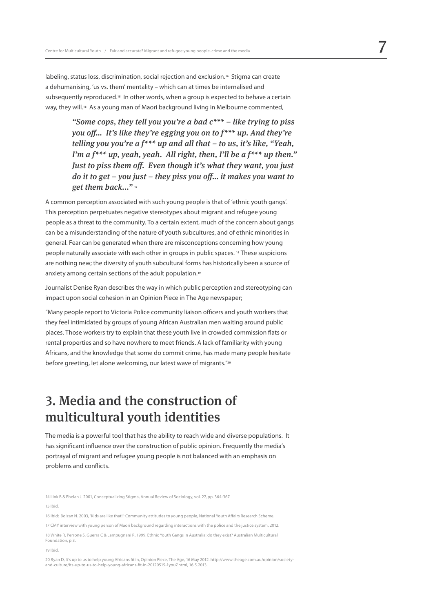labeling, status loss, discrimination, social rejection and exclusion.**14** Stigma can create a dehumanising, 'us vs. them' mentality – which can at times be internalised and subsequently reproduced.**15** In other words, when a group is expected to behave a certain way, they will.**16** As a young man of Maori background living in Melbourne commented,

> *"Some cops, they tell you you're a bad c\*\*\* – like trying to piss you off… It's like they're egging you on to f\*\*\* up. And they're telling you you're a f\*\*\* up and all that – to us, it's like, "Yeah, I'm a f\*\*\* up, yeah, yeah. All right, then, I'll be a f\*\*\* up then." Just to piss them off. Even though it's what they want, you just do it to get – you just – they piss you off… it makes you want to get them back..."* **<sup>17</sup>**

A common perception associated with such young people is that of 'ethnic youth gangs'. This perception perpetuates negative stereotypes about migrant and refugee young people as a threat to the community. To a certain extent, much of the concern about gangs can be a misunderstanding of the nature of youth subcultures, and of ethnic minorities in general. Fear can be generated when there are misconceptions concerning how young people naturally associate with each other in groups in public spaces. **18** These suspicions are nothing new; the diversity of youth subcultural forms has historically been a source of anxiety among certain sections of the adult population.**<sup>19</sup>**

Journalist Denise Ryan describes the way in which public perception and stereotyping can impact upon social cohesion in an Opinion Piece in The Age newspaper;

"Many people report to Victoria Police community liaison officers and youth workers that they feel intimidated by groups of young African Australian men waiting around public places. Those workers try to explain that these youth live in crowded commission flats or rental properties and so have nowhere to meet friends. A lack of familiarity with young Africans, and the knowledge that some do commit crime, has made many people hesitate before greeting, let alone welcoming, our latest wave of migrants."**<sup>20</sup>**

## 3. Media and the construction of multicultural youth identities

The media is a powerful tool that has the ability to reach wide and diverse populations. It has significant influence over the construction of public opinion. Frequently the media's portrayal of migrant and refugee young people is not balanced with an emphasis on problems and conflicts.

15 Ibid.

19 Ibid.

<sup>14</sup> Link B & Phelan J. 2001, Conceptualizing Stigma, Annual Review of Sociology, vol. 27, pp. 364-367.

<sup>16</sup> Ibid; Bolzan N. 2003, 'Kids are like that!': Community attitudes to young people, National Youth Affairs Research Scheme.

<sup>17</sup> CMY interview with young person of Maori background regarding interactions with the police and the justice system, 2012.

<sup>18</sup> White R. Perrone S, Guerra C & Lampugnani R. 1999. Ethnic Youth Gangs in Australia: do they exist? Australian Multicultural Foundation, p.3.

<sup>20</sup> Ryan D, It's up to us to help young Africans fit in, Opinion Piece, The Age, 16 May 2012. http://www.theage.com.au/opinion/societyand-culture/its-up-to-us-to-help-young-africans-fit-in-20120515-1you7.html, 16.5.2013.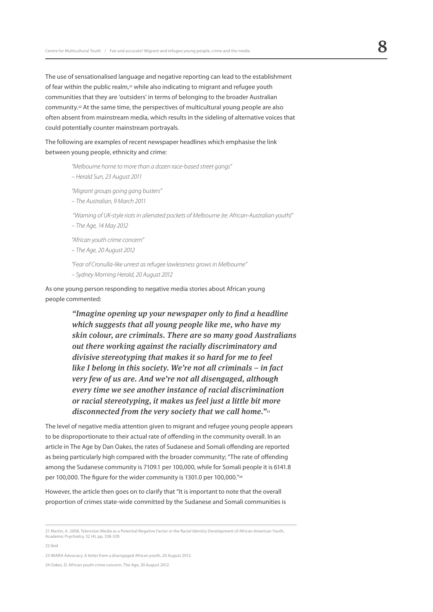The use of sensationalised language and negative reporting can lead to the establishment of fear within the public realm,**21** while also indicating to migrant and refugee youth communities that they are 'outsiders' in terms of belonging to the broader Australian community.**22** At the same time, the perspectives of multicultural young people are also often absent from mainstream media, which results in the sideling of alternative voices that could potentially counter mainstream portrayals.

The following are examples of recent newspaper headlines which emphasise the link between young people, ethnicity and crime:

> *"Melbourne home to more than a dozen race-based street gangs" – Herald Sun, 23 August 2011*

*"Migrant groups going gang busters"* 

*– The Australian, 9 March 2011*

 *"Warning of UK-style riots in alienated pockets of Melbourne (re: African-Australian youth)"* 

*– The Age, 14 May 2012*

*"African youth crime concern"*

*– The Age, 20 August 2012*

*"Fear of Cronulla-like unrest as refugee lawlessness grows in Melbourne" – Sydney Morning Herald, 20 August 2012*

As one young person responding to negative media stories about African young people commented:

> *"Imagine opening up your newspaper only to find a headline which suggests that all young people like me, who have my skin colour, are criminals. There are so many good Australians out there working against the racially discriminatory and divisive stereotyping that makes it so hard for me to feel like I belong in this society. We're not all criminals – in fact very few of us are. And we're not all disengaged, although every time we see another instance of racial discrimination or racial stereotyping, it makes us feel just a little bit more disconnected from the very society that we call home."***<sup>23</sup>**

The level of negative media attention given to migrant and refugee young people appears to be disproportionate to their actual rate of offending in the community overall. In an article in The Age by Dan Oakes, the rates of Sudanese and Somali offending are reported as being particularly high compared with the broader community; "The rate of offending among the Sudanese community is 7109.1 per 100,000, while for Somali people it is 6141.8 per 100,000. The figure for the wider community is 1301.0 per 100,000."**<sup>24</sup>**

However, the article then goes on to clarify that "It is important to note that the overall proportion of crimes state-wide committed by the Sudanese and Somali communities is

22 Ibid

23 IMARA Advocacy, A letter from a disengaged African youth, 20 August 2012.

<sup>21</sup> Martin, A. 2008, Television Media as a Potential Negative Factor in the Racial Identity Development of African American Youth, Academic Psychiatry, 32 (4), pp. 338-339.

<sup>24</sup> Oakes, D. African youth crime concern, The Age, 20 August 2012.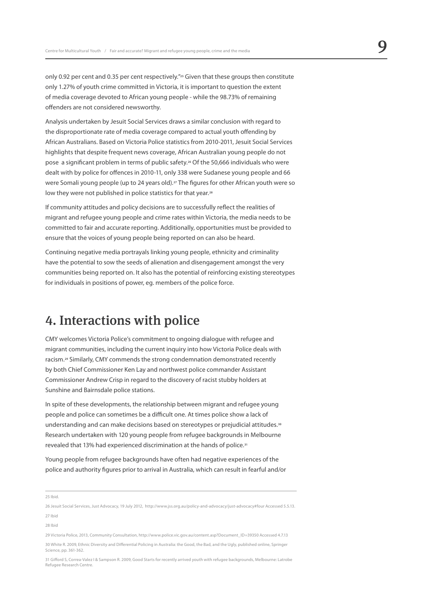only 0.92 per cent and 0.35 per cent respectively."**25** Given that these groups then constitute only 1.27% of youth crime committed in Victoria, it is important to question the extent of media coverage devoted to African young people - while the 98.73% of remaining offenders are not considered newsworthy.

Analysis undertaken by Jesuit Social Services draws a similar conclusion with regard to the disproportionate rate of media coverage compared to actual youth offending by African Australians. Based on Victoria Police statistics from 2010-2011, Jesuit Social Services highlights that despite frequent news coverage, African Australian young people do not pose a significant problem in terms of public safety.**26** Of the 50,666 individuals who were dealt with by police for offences in 2010-11, only 338 were Sudanese young people and 66 were Somali young people (up to 24 years old).**27** The figures for other African youth were so low they were not published in police statistics for that year.**<sup>28</sup>**

If community attitudes and policy decisions are to successfully reflect the realities of migrant and refugee young people and crime rates within Victoria, the media needs to be committed to fair and accurate reporting. Additionally, opportunities must be provided to ensure that the voices of young people being reported on can also be heard.

Continuing negative media portrayals linking young people, ethnicity and criminality have the potential to sow the seeds of alienation and disengagement amongst the very communities being reported on. It also has the potential of reinforcing existing stereotypes for individuals in positions of power, eg. members of the police force.

## 4. Interactions with police

CMY welcomes Victoria Police's commitment to ongoing dialogue with refugee and migrant communities, including the current inquiry into how Victoria Police deals with racism.**29** Similarly, CMY commends the strong condemnation demonstrated recently by both Chief Commissioner Ken Lay and northwest police commander Assistant Commissioner Andrew Crisp in regard to the discovery of racist stubby holders at Sunshine and Bairnsdale police stations.

In spite of these developments, the relationship between migrant and refugee young people and police can sometimes be a difficult one. At times police show a lack of understanding and can make decisions based on stereotypes or prejudicial attitudes.**<sup>30</sup>** Research undertaken with 120 young people from refugee backgrounds in Melbourne revealed that 13% had experienced discrimination at the hands of police.**<sup>31</sup>**

Young people from refugee backgrounds have often had negative experiences of the police and authority figures prior to arrival in Australia, which can result in fearful and/or

25 Ibid.

26 Jesuit Social Services, Just Advocacy, 19 July 2012, http://www.jss.org.au/policy-and-advocacy/just-advocacy#four Accessed 5.5.13. 27 Ibid

28 Ibid

29 Victoria Police, 2013, Community Consultation, http://www.police.vic.gov.au/content.asp?Document\_ID=39350 Accessed 4.7.13 30 White R. 2009, Ethnic Diversity and Differential Policing in Australia: the Good, the Bad, and the Ugly, published online, Springer Science, pp. 361-362.

31 Gifford S, Correa-Valez I & Sampson R. 2009, Good Starts for recently arrived youth with refugee backgrounds, Melbourne: Latrobe Refugee Research Centre.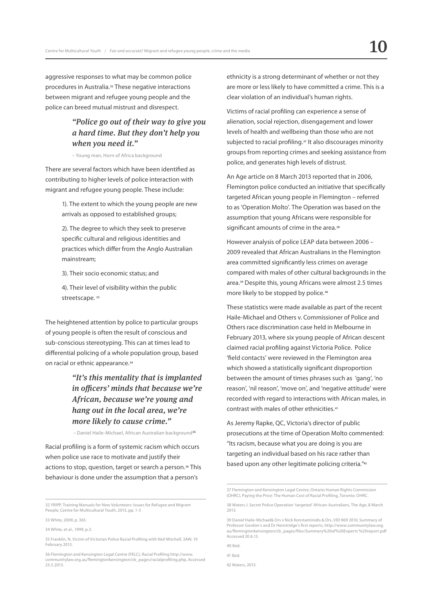aggressive responses to what may be common police procedures in Australia.**32** These negative interactions between migrant and refugee young people and the police can breed mutual mistrust and disrespect.

## *"Police go out of their way to give you a hard time. But they don't help you when you need it."*

– Young man, Horn of Africa background

There are several factors which have been identified as contributing to higher levels of police interaction with migrant and refugee young people. These include:

> 1). The extent to which the young people are new arrivals as opposed to established groups;

2). The degree to which they seek to preserve specific cultural and religious identities and practices which differ from the Anglo Australian mainstream;

3). Their socio economic status; and

4). Their level of visibility within the public streetscape. **<sup>33</sup>**

The heightened attention by police to particular groups of young people is often the result of conscious and sub-conscious stereotyping. This can at times lead to differential policing of a whole population group, based on racial or ethnic appearance.**<sup>34</sup>**

## *"It's this mentality that is implanted in officers' minds that because we're African, because we're young and hang out in the local area, we're more likely to cause crime."*

– Daniel Haile-Michael, African Australian background**<sup>35</sup>**

Racial profiling is a form of systemic racism which occurs when police use race to motivate and justify their actions to stop, question, target or search a person.**36** This behaviour is done under the assumption that a person's

ethnicity is a strong determinant of whether or not they are more or less likely to have committed a crime. This is a clear violation of an individual's human rights.

Victims of racial profiling can experience a sense of alienation, social rejection, disengagement and lower levels of health and wellbeing than those who are not subjected to racial profiling.**37** It also discourages minority groups from reporting crimes and seeking assistance from police, and generates high levels of distrust.

An Age article on 8 March 2013 reported that in 2006, Flemington police conducted an initiative that specifically targeted African young people in Flemington – referred to as 'Operation Molto'. The Operation was based on the assumption that young Africans were responsible for significant amounts of crime in the area.**<sup>38</sup>**

However analysis of police LEAP data between 2006 – 2009 revealed that African Australians in the Flemington area committed significantly less crimes on average compared with males of other cultural backgrounds in the area.**39** Despite this, young Africans were almost 2.5 times more likely to be stopped by police.**<sup>40</sup>**

These statistics were made available as part of the recent Haile-Michael and Others v. Commissioner of Police and Others race discrimination case held in Melbourne in February 2013, where six young people of African descent claimed racial profiling against Victoria Police. Police 'field contacts' were reviewed in the Flemington area which showed a statistically significant disproportion between the amount of times phrases such as 'gang', 'no reason', 'nil reason', 'move on', and 'negative attitude' were recorded with regard to interactions with African males, in contrast with males of other ethnicities.**<sup>41</sup>**

As Jeremy Rapke, QC, Victoria's director of public prosecutions at the time of Operation Molto commented: "Its racism, because what you are doing is you are targeting an individual based on his race rather than based upon any other legitimate policing criteria."**<sup>42</sup>**

40 Ibid.

42 Waters, 2013.

<sup>32</sup> YRIPP, Training Manuals for New Volunteers: Issues for Refugee and Migrant People, Centre for Multicultural Youth, 2013, pp. 1-3

<sup>33</sup> White, 2009, p. 365.

<sup>34</sup> White, et al., 1999, p.3.

<sup>35</sup> Franklin, N. Victim of Victorian Police Racial Profiling with Neil Mitchell, 3AW, 19 February 2013.

<sup>36</sup> Flemington and Kensington Legal Centre (FKLC), Racial Profiling http://www. communitylaw.org.au/flemingtonkensington/cb\_pages/racialprofiling.php, Accessed 23.5.2013.

<sup>37</sup> Flemington and Kensington Legal Centre; Ontario Human Rights Commission (OHRC), Paying the Price: The Human Cost of Racial Profiling, Toronto: OHRC.

<sup>38</sup> Waters J. Secret Police Operation 'targeted' African-Australians, The Age, 8 March 2013.

<sup>39</sup> Daniel Haile-Michael& Ors v Nick Konstantinidis & Ors, VID 969 2010, Summary of Professor Gordon's and Dr Henstridge's first reports, http://www.communitylaw.org. au/flemingtonkensington/cb\_pages/files/Summary%20of%20Experts'%20report.pdf Accessed 20.6.13.

<sup>41</sup> Ibid.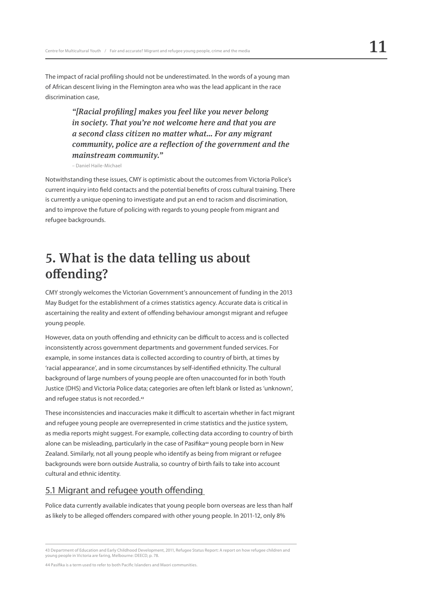The impact of racial profiling should not be underestimated. In the words of a young man of African descent living in the Flemington area who was the lead applicant in the race discrimination case,

> *"[Racial profiling] makes you feel like you never belong in society. That you're not welcome here and that you are a second class citizen no matter what… For any migrant community, police are a reflection of the government and the mainstream community."*

– Daniel Haile-Michael

Notwithstanding these issues, CMY is optimistic about the outcomes from Victoria Police's current inquiry into field contacts and the potential benefits of cross cultural training. There is currently a unique opening to investigate and put an end to racism and discrimination, and to improve the future of policing with regards to young people from migrant and refugee backgrounds.

# 5. What is the data telling us about offending?

CMY strongly welcomes the Victorian Government's announcement of funding in the 2013 May Budget for the establishment of a crimes statistics agency. Accurate data is critical in ascertaining the reality and extent of offending behaviour amongst migrant and refugee young people.

However, data on youth offending and ethnicity can be difficult to access and is collected inconsistently across government departments and government funded services. For example, in some instances data is collected according to country of birth, at times by 'racial appearance', and in some circumstances by self-identified ethnicity. The cultural background of large numbers of young people are often unaccounted for in both Youth Justice (DHS) and Victoria Police data; categories are often left blank or listed as 'unknown', and refugee status is not recorded.**<sup>43</sup>**

These inconsistencies and inaccuracies make it difficult to ascertain whether in fact migrant and refugee young people are overrepresented in crime statistics and the justice system, as media reports might suggest. For example, collecting data according to country of birth alone can be misleading, particularly in the case of Pasifika**44** young people born in New Zealand. Similarly, not all young people who identify as being from migrant or refugee backgrounds were born outside Australia, so country of birth fails to take into account cultural and ethnic identity.

## 5.1 Migrant and refugee youth offending

Police data currently available indicates that young people born overseas are less than half as likely to be alleged offenders compared with other young people. In 2011-12, only 8%

<sup>43</sup> Department of Education and Early Childhood Development, 2011, Refugee Status Report: A report on how refugee children and young people in Victoria are faring, Melbourne: DEECD, p. 78.

<sup>44</sup> Pasifika is a term used to refer to both Pacific Islanders and Maori communities.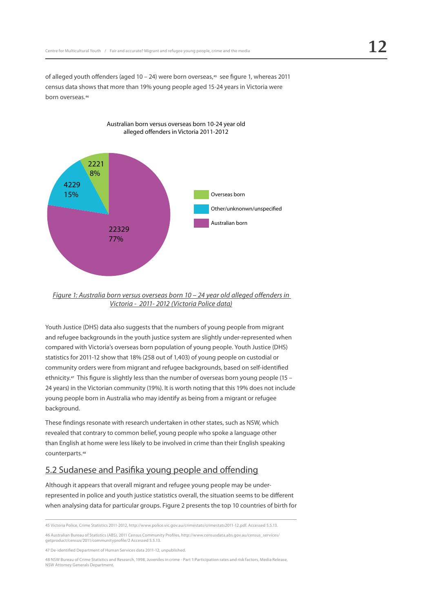of alleged youth offenders (aged 10 – 24) were born overseas,**45** see figure 1, whereas 2011 census data shows that more than 19% young people aged 15-24 years in Victoria were born overseas.**<sup>46</sup>**

Australian born versus overseas born 10-24 year old



*Figure 1: Australia born versus overseas born 10 – 24 year old alleged offenders in* 

*Victoria - 2011- 2012 (Victoria Police data)*

Youth Justice (DHS) data also suggests that the numbers of young people from migrant and refugee backgrounds in the youth justice system are slightly under-represented when compared with Victoria's overseas born population of young people. Youth Justice (DHS) statistics for 2011-12 show that 18% (258 out of 1,403) of young people on custodial or community orders were from migrant and refugee backgrounds, based on self-identified ethnicity.**47** This figure is slightly less than the number of overseas born young people (15 – 24 years) in the Victorian community (19%). It is worth noting that this 19% does not include young people born in Australia who may identify as being from a migrant or refugee background.

These findings resonate with research undertaken in other states, such as NSW, which revealed that contrary to common belief, young people who spoke a language other than English at home were less likely to be involved in crime than their English speaking counterparts.**<sup>48</sup>**

## 5.2 Sudanese and Pasifika young people and offending

Although it appears that overall migrant and refugee young people may be underrepresented in police and youth justice statistics overall, the situation seems to be different when analysing data for particular groups. Figure 2 presents the top 10 countries of birth for

48 NSW Bureau of Crime Statistics and Research, 1998, Juveniles in crime - Part 1:Participation rates and risk factors, Media Release, NSW Attorney Generals Department.

<sup>45</sup> Victoria Police, Crime Statistics 2011-2012, http://www.police.vic.gov.au/crimestats/crimestats2011-12.pdf. Accessed 5.5.13.

<sup>46</sup> Australian Bureau of Statistics (ABS), 2011 Census Community Profiles, http://www.censusdata.abs.gov.au/census\_services/ getproduct/census/2011/communityprofile/2 Accessed 5.5.13.

<sup>47</sup> De-identified Department of Human Services data 2011-12, unpublished.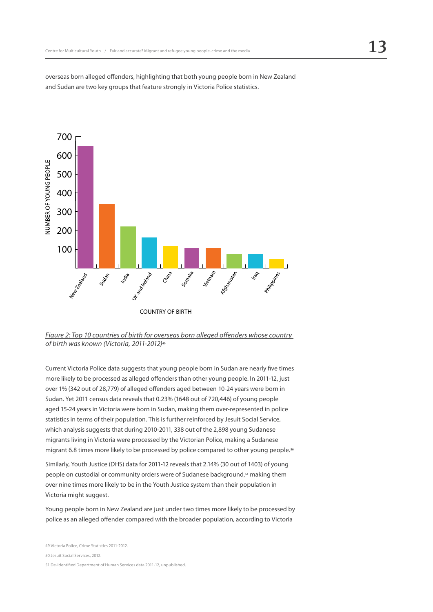overseas born alleged offenders, highlighting that both young people born in New Zealand and Sudan are two key groups that feature strongly in Victoria Police statistics.



*Figure 2: Top 10 countries of birth for overseas born alleged offenders whose country of birth was known (Victoria, 2011-2012)***<sup>49</sup>**

Current Victoria Police data suggests that young people born in Sudan are nearly five times more likely to be processed as alleged offenders than other young people. In 2011-12, just over 1% (342 out of 28,779) of alleged offenders aged between 10-24 years were born in Sudan. Yet 2011 census data reveals that 0.23% (1648 out of 720,446) of young people aged 15-24 years in Victoria were born in Sudan, making them over-represented in police statistics in terms of their population. This is further reinforced by Jesuit Social Service, which analysis suggests that during 2010-2011, 338 out of the 2,898 young Sudanese migrants living in Victoria were processed by the Victorian Police, making a Sudanese migrant 6.8 times more likely to be processed by police compared to other young people.**<sup>50</sup>**

Similarly, Youth Justice (DHS) data for 2011-12 reveals that 2.14% (30 out of 1403) of young people on custodial or community orders were of Sudanese background,**51** making them over nine times more likely to be in the Youth Justice system than their population in Victoria might suggest.

Young people born in New Zealand are just under two times more likely to be processed by police as an alleged offender compared with the broader population, according to Victoria

<sup>49</sup> Victoria Police, Crime Statistics 2011-2012.

<sup>50</sup> Jesuit Social Services, 2012.

<sup>51</sup> De-identified Department of Human Services data 2011-12, unpublished.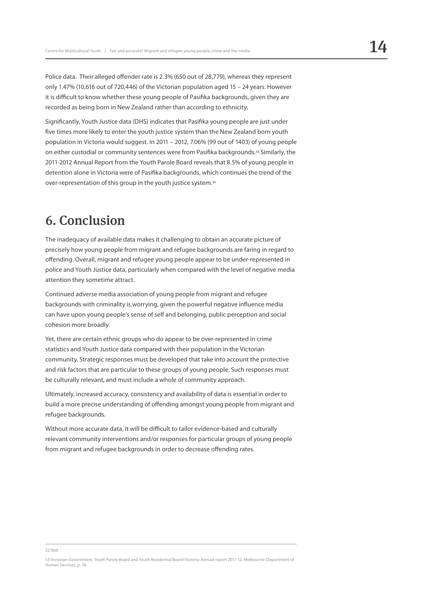Police data. Their alleged offender rate is 2.3% (650 out of 28,779), whereas they represent only 1.47% (10,616 out of 720,446) of the Victorian population aged 15 – 24 years. However it is difficult to know whether these young people of Pasifika backgrounds, given they are recorded as being born in New Zealand rather than according to ethnicity.

Significantly, Youth Justice data (DHS) indicates that Pasifika young people are just under five times more likely to enter the youth justice system than the New Zealand born youth population in Victoria would suggest. In 2011 – 2012, 7.06% (99 out of 1403) of young people on either custodial or community sentences were from Pasifika backgrounds.**52** Similarly, the 2011-2012 Annual Report from the Youth Parole Board reveals that 8.5% of young people in detention alone in Victoria were of Pasifika backgrounds, which continues the trend of the over-representation of this group in the youth justice system.**<sup>53</sup>**

# 6. Conclusion

The inadequacy of available data makes it challenging to obtain an accurate picture of precisely how young people from migrant and refugee backgrounds are faring in regard to offending. Overall, migrant and refugee young people appear to be under-represented in police and Youth Justice data, particularly when compared with the level of negative media attention they sometime attract.

Continued adverse media association of young people from migrant and refugee backgrounds with criminality is worrying, given the powerful negative influence media can have upon young people's sense of self and belonging, public perception and social cohesion more broadly.

Yet, there are certain ethnic groups who do appear to be over-represented in crime statistics and Youth Justice data compared with their population in the Victorian community. Strategic responses must be developed that take into account the protective and risk factors that are particular to these groups of young people. Such responses must be culturally relevant, and must include a whole of community approach.

Ultimately, increased accuracy, consistency and availability of data is essential in order to build a more precise understanding of offending amongst young people from migrant and refugee backgrounds.

Without more accurate data, it will be difficult to tailor evidence-based and culturally relevant community interventions and/or responses for particular groups of young people from migrant and refugee backgrounds in order to decrease offending rates.

#### 52 Ibid.

<sup>53</sup> Victorian Government, Youth Parole Board and Youth Residential Board Victoria: Annual report 2011-12, Melbourne: Department of Human Services, p. 16.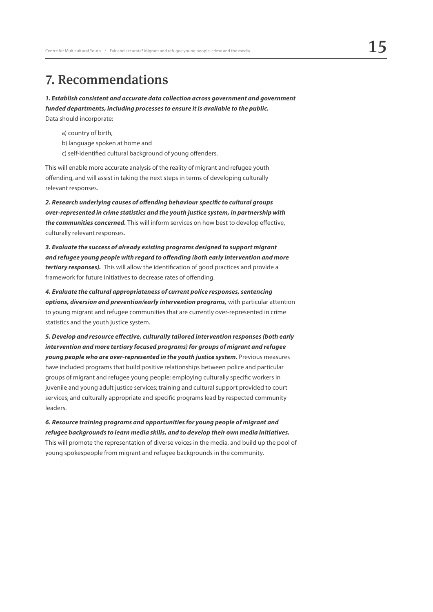# 7. Recommendations

*1. Establish consistent and accurate data collection across government and government funded departments, including processes to ensure it is available to the public.* Data should incorporate:

a) country of birth,

- b) language spoken at home and
- c) self-identified cultural background of young offenders.

This will enable more accurate analysis of the reality of migrant and refugee youth offending, and will assist in taking the next steps in terms of developing culturally relevant responses.

*2. Research underlying causes of offending behaviour specific to cultural groups over-represented in crime statistics and the youth justice system, in partnership with the communities concerned.* This will inform services on how best to develop effective, culturally relevant responses.

*3. Evaluate the success of already existing programs designed to support migrant and refugee young people with regard to offending (both early intervention and more tertiary responses).* This will allow the identification of good practices and provide a framework for future initiatives to decrease rates of offending.

*4. Evaluate the cultural appropriateness of current police responses, sentencing options, diversion and prevention/early intervention programs,* with particular attention to young migrant and refugee communities that are currently over-represented in crime statistics and the youth justice system.

*5. Develop and resource effective, culturally tailored intervention responses (both early intervention and more tertiary focused programs) for groups of migrant and refugee young people who are over-represented in the youth justice system.* Previous measures have included programs that build positive relationships between police and particular groups of migrant and refugee young people; employing culturally specific workers in juvenile and young adult justice services; training and cultural support provided to court services; and culturally appropriate and specific programs lead by respected community leaders.

*6. Resource training programs and opportunities for young people of migrant and refugee backgrounds to learn media skills, and to develop their own media initiatives.* This will promote the representation of diverse voices in the media, and build up the pool of young spokespeople from migrant and refugee backgrounds in the community.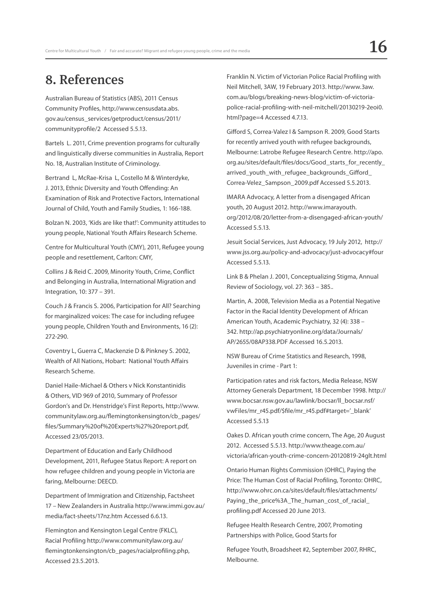# 8. References

Australian Bureau of Statistics (ABS), 2011 Census Community Profiles, http://www.censusdata.abs. gov.au/census\_services/getproduct/census/2011/ communityprofile/2 Accessed 5.5.13.

Bartels L. 2011, Crime prevention programs for culturally and linguistically diverse communities in Australia, Report No. 18, Australian Institute of Criminology.

Bertrand L, McRae-Krisa L, Costello M & Winterdyke, J. 2013, Ethnic Diversity and Youth Offending: An Examination of Risk and Protective Factors, International Journal of Child, Youth and Family Studies, 1: 166-188.

Bolzan N. 2003, 'Kids are like that!': Community attitudes to young people, National Youth Affairs Research Scheme.

Centre for Multicultural Youth (CMY), 2011, Refugee young people and resettlement, Carlton: CMY,

Collins J & Reid C. 2009, Minority Youth, Crime, Conflict and Belonging in Australia, International Migration and Integration, 10: 377 – 391.

Couch J & Francis S. 2006, Participation for All? Searching for marginalized voices: The case for including refugee young people, Children Youth and Environments, 16 (2): 272-290.

Coventry L, Guerra C, Mackenzie D & Pinkney S. 2002, Wealth of All Nations, Hobart: National Youth Affairs Research Scheme.

Daniel Haile-Michael & Others v Nick Konstantinidis & Others, VID 969 of 2010, Summary of Professor Gordon's and Dr. Henstridge's First Reports, http://www. communitylaw.org.au/flemingtonkensington/cb\_pages/ files/Summary%20of%20Experts%27%20report.pdf, Accessed 23/05/2013.

Department of Education and Early Childhood Development, 2011, Refugee Status Report: A report on how refugee children and young people in Victoria are faring, Melbourne: DEECD.

Department of Immigration and Citizenship, Factsheet 17 – New Zealanders in Australia http://www.immi.gov.au/ media/fact-sheets/17nz.htm Accessed 6.6.13.

Flemington and Kensington Legal Centre (FKLC), Racial Profiling http://www.communitylaw.org.au/ flemingtonkensington/cb\_pages/racialprofiling.php, Accessed 23.5.2013.

Franklin N. Victim of Victorian Police Racial Profiling with Neil Mitchell, 3AW, 19 February 2013. http://www.3aw. com.au/blogs/breaking-news-blog/victim-of-victoriapolice-racial-profiling-with-neil-mitchell/20130219-2eoi0. html?page=4 Accessed 4.7.13.

Gifford S, Correa-Valez I & Sampson R. 2009, Good Starts for recently arrived youth with refugee backgrounds, Melbourne: Latrobe Refugee Research Centre. http://apo. org.au/sites/default/files/docs/Good\_starts\_for\_recently\_ arrived youth with refugee backgrounds Gifford Correa-Velez\_Sampson\_2009.pdf Accessed 5.5.2013.

IMARA Advocacy, A letter from a disengaged African youth, 20 August 2012. http://www.imarayouth. org/2012/08/20/letter-from-a-disengaged-african-youth/ Accessed 5.5.13.

Jesuit Social Services, Just Advocacy, 19 July 2012, http:// www.jss.org.au/policy-and-advocacy/just-advocacy#four Accessed 5.5.13.

Link B & Phelan J. 2001, Conceptualizing Stigma, Annual Review of Sociology, vol. 27: 363 – 385..

Martin, A. 2008, Television Media as a Potential Negative Factor in the Racial Identity Development of African American Youth, Academic Psychiatry, 32 (4): 338 – 342. http://ap.psychiatryonline.org/data/Journals/ AP/2655/08AP338.PDF Accessed 16.5.2013.

NSW Bureau of Crime Statistics and Research, 1998, Juveniles in crime - Part 1:

Participation rates and risk factors, Media Release, NSW Attorney Generals Department, 18 December 1998. http:// www.bocsar.nsw.gov.au/lawlink/bocsar/ll\_bocsar.nsf/ vwFiles/mr\_r45.pdf/\$file/mr\_r45.pdf#target='\_blank' Accessed 5.5.13

Oakes D. African youth crime concern, The Age, 20 August 2012. Accessed 5.5.13. http://www.theage.com.au/ victoria/african-youth-crime-concern-20120819-24glt.html

Ontario Human Rights Commission (OHRC), Paying the Price: The Human Cost of Racial Profiling, Toronto: OHRC, http://www.ohrc.on.ca/sites/default/files/attachments/ Paying\_the\_price%3A\_The\_human\_cost\_of\_racial\_ profiling.pdf Accessed 20 June 2013.

Refugee Health Research Centre, 2007, Promoting Partnerships with Police, Good Starts for

Refugee Youth, Broadsheet #2, September 2007, RHRC, Melbourne.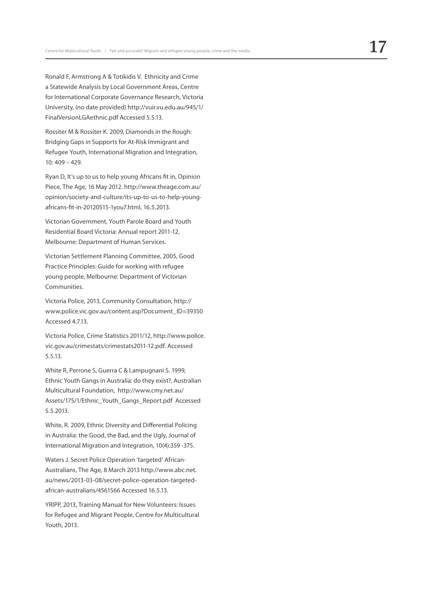Ronald F, Armstrong A & Totikidis V. Ethnicity and Crime a Statewide Analysis by Local Government Areas, Centre for International Corporate Governance Research, Victoria University, (no date provided) http://vuir.vu.edu.au/945/1/ FinalVersionLGAethnic.pdf Accessed 5.5.13.

Rossiter M & Rossiter K. 2009, Diamonds in the Rough: Bridging Gaps in Supports for At-Risk Immigrant and Refugee Youth, International Migration and Integration, 10: 409 – 429.

Ryan D, It's up to us to help young Africans fit in, Opinion Piece, The Age, 16 May 2012. http://www.theage.com.au/ opinion/society-and-culture/its-up-to-us-to-help-youngafricans-fit-in-20120515-1you7.html, 16.5.2013.

Victorian Government, Youth Parole Board and Youth Residential Board Victoria: Annual report 2011-12, Melbourne: Department of Human Services.

Victorian Settlement Planning Committee, 2005, Good Practice Principles: Guide for working with refugee young people, Melbourne: Department of Victorian Communities.

Victoria Police, 2013, Community Consultation, http:// www.police.vic.gov.au/content.asp?Document\_ID=39350 Accessed 4.7.13.

Victoria Police, Crime Statistics 2011/12, http://www.police. vic.gov.au/crimestats/crimestats2011-12.pdf. Accessed 5.5.13.

White R, Perrone S, Guerra C & Lampugnani S. 1999, Ethnic Youth Gangs in Australia: do they exist?, Australian Multicultural Foundation, http://www.cmy.net.au/ Assets/175/1/Ethnic\_Youth\_Gangs\_Report.pdf Accessed 5.5.2013.

White, R. 2009, Ethnic Diversity and Differential Policing in Australia: the Good, the Bad, and the Ugly, Journal of International Migration and Integration, 10(4):359 -375.

Waters J. Secret Police Operation 'targeted' African-Australians, The Age, 8 March 2013 http://www.abc.net. au/news/2013-03-08/secret-police-operation-targetedafrican-australians/4561566 Accessed 16.5.13.

YRIPP, 2013, Training Manual for New Volunteers: Issues for Refugee and Migrant People, Centre for Multicultural Youth, 2013.